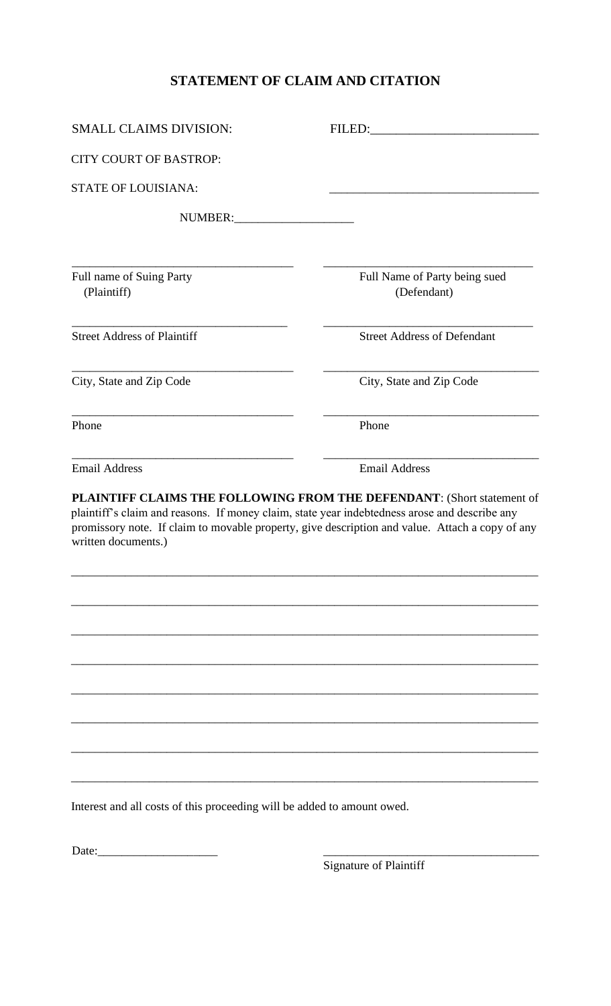## **STATEMENT OF CLAIM AND CITATION**

| <b>SMALL CLAIMS DIVISION:</b>                                                                                        | FILED:                                                                                                                                                                    |
|----------------------------------------------------------------------------------------------------------------------|---------------------------------------------------------------------------------------------------------------------------------------------------------------------------|
| <b>CITY COURT OF BASTROP:</b>                                                                                        |                                                                                                                                                                           |
| <b>STATE OF LOUISIANA:</b>                                                                                           |                                                                                                                                                                           |
| NUMBER:                                                                                                              |                                                                                                                                                                           |
| Full name of Suing Party<br>(Plaintiff)                                                                              | Full Name of Party being sued<br>(Defendant)                                                                                                                              |
| <b>Street Address of Plaintiff</b>                                                                                   | <b>Street Address of Defendant</b>                                                                                                                                        |
| City, State and Zip Code                                                                                             | City, State and Zip Code                                                                                                                                                  |
| Phone                                                                                                                | Phone                                                                                                                                                                     |
| <b>Email Address</b>                                                                                                 | <b>Email Address</b>                                                                                                                                                      |
| plaintiff's claim and reasons. If money claim, state year indebtedness arose and describe any<br>written documents.) | PLAINTIFF CLAIMS THE FOLLOWING FROM THE DEFENDANT: (Short statement of<br>promissory note. If claim to movable property, give description and value. Attach a copy of any |
|                                                                                                                      |                                                                                                                                                                           |
|                                                                                                                      |                                                                                                                                                                           |
|                                                                                                                      |                                                                                                                                                                           |
|                                                                                                                      |                                                                                                                                                                           |
|                                                                                                                      |                                                                                                                                                                           |
| Interest and all costs of this proceeding will be added to amount owed.                                              |                                                                                                                                                                           |

Date:\_\_\_\_\_\_\_\_\_\_\_\_\_\_\_\_\_\_\_\_ \_\_\_\_\_\_\_\_\_\_\_\_\_\_\_\_\_\_\_\_\_\_\_\_\_\_\_\_\_\_\_\_\_\_\_\_

Signature of Plaintiff